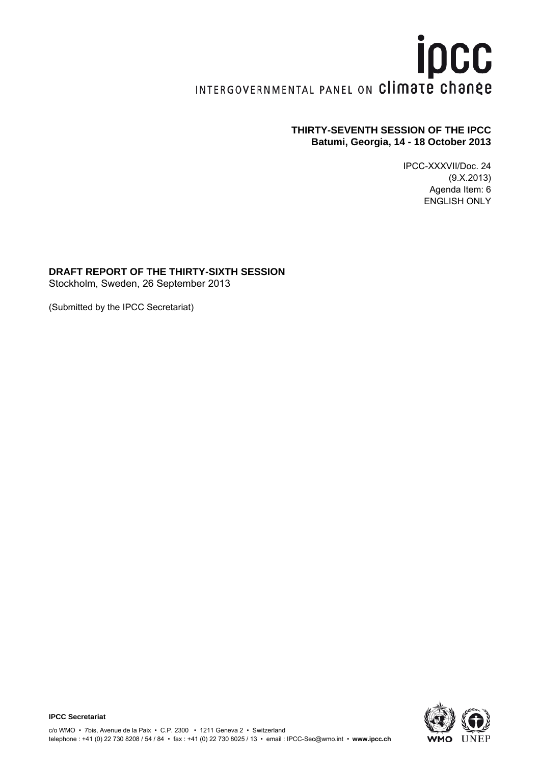# ipcc INTERGOVERNMENTAL PANEL ON Climate change

# **THIRTY-SEVENTH SESSION OF THE IPCC Batumi, Georgia, 14 - 18 October 2013**

IPCC-XXXVII/Doc. 24 (9.X.2013) Agenda Item: 6 ENGLISH ONLY

## **DRAFT REPORT OF THE THIRTY-SIXTH SESSION**

Stockholm, Sweden, 26 September 2013

(Submitted by the IPCC Secretariat)

**IPCC Secretariat** 

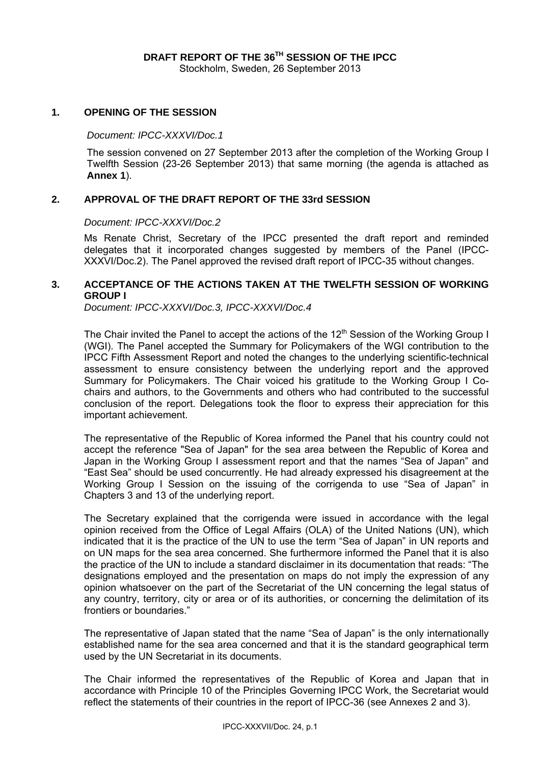#### **1. OPENING OF THE SESSION**

#### *Document: IPCC-XXXVI/Doc.1*

The session convened on 27 September 2013 after the completion of the Working Group I Twelfth Session (23-26 September 2013) that same morning (the agenda is attached as **Annex 1**).

## **2. APPROVAL OF THE DRAFT REPORT OF THE 33rd SESSION**

#### *Document: IPCC-XXXVI/Doc.2*

Ms Renate Christ, Secretary of the IPCC presented the draft report and reminded delegates that it incorporated changes suggested by members of the Panel (IPCC-XXXVI/Doc.2). The Panel approved the revised draft report of IPCC-35 without changes.

## **3. ACCEPTANCE OF THE ACTIONS TAKEN AT THE TWELFTH SESSION OF WORKING GROUP I**

*Document: IPCC-XXXVI/Doc.3, IPCC-XXXVI/Doc.4* 

The Chair invited the Panel to accept the actions of the 12<sup>th</sup> Session of the Working Group I (WGI). The Panel accepted the Summary for Policymakers of the WGI contribution to the IPCC Fifth Assessment Report and noted the changes to the underlying scientific-technical assessment to ensure consistency between the underlying report and the approved Summary for Policymakers. The Chair voiced his gratitude to the Working Group I Cochairs and authors, to the Governments and others who had contributed to the successful conclusion of the report. Delegations took the floor to express their appreciation for this important achievement.

The representative of the Republic of Korea informed the Panel that his country could not accept the reference "Sea of Japan" for the sea area between the Republic of Korea and Japan in the Working Group I assessment report and that the names "Sea of Japan" and "East Sea" should be used concurrently. He had already expressed his disagreement at the Working Group I Session on the issuing of the corrigenda to use "Sea of Japan" in Chapters 3 and 13 of the underlying report.

The Secretary explained that the corrigenda were issued in accordance with the legal opinion received from the Office of Legal Affairs (OLA) of the United Nations (UN), which indicated that it is the practice of the UN to use the term "Sea of Japan" in UN reports and on UN maps for the sea area concerned. She furthermore informed the Panel that it is also the practice of the UN to include a standard disclaimer in its documentation that reads: "The designations employed and the presentation on maps do not imply the expression of any opinion whatsoever on the part of the Secretariat of the UN concerning the legal status of any country, territory, city or area or of its authorities, or concerning the delimitation of its frontiers or boundaries."

The representative of Japan stated that the name "Sea of Japan" is the only internationally established name for the sea area concerned and that it is the standard geographical term used by the UN Secretariat in its documents.

The Chair informed the representatives of the Republic of Korea and Japan that in accordance with Principle 10 of the Principles Governing IPCC Work, the Secretariat would reflect the statements of their countries in the report of IPCC-36 (see Annexes 2 and 3).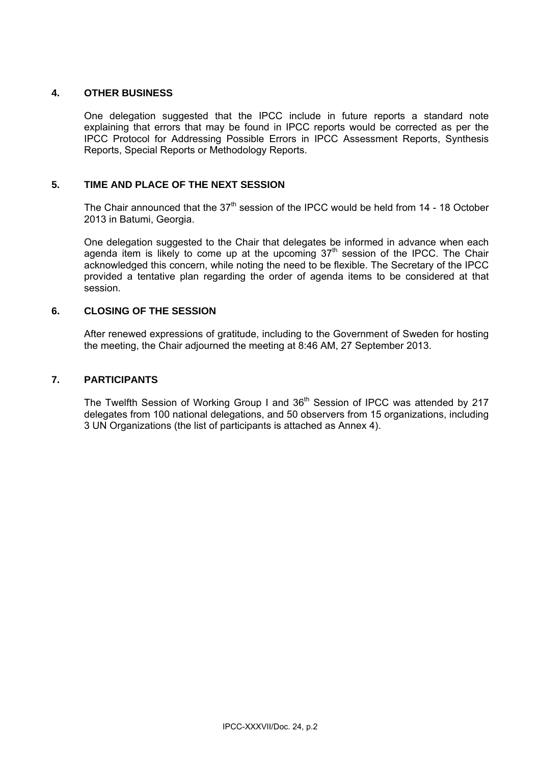## **4. OTHER BUSINESS**

One delegation suggested that the IPCC include in future reports a standard note explaining that errors that may be found in IPCC reports would be corrected as per the IPCC Protocol for Addressing Possible Errors in IPCC Assessment Reports, Synthesis Reports, Special Reports or Methodology Reports.

## **5. TIME AND PLACE OF THE NEXT SESSION**

The Chair announced that the  $37<sup>th</sup>$  session of the IPCC would be held from 14 - 18 October 2013 in Batumi, Georgia.

One delegation suggested to the Chair that delegates be informed in advance when each agenda item is likely to come up at the upcoming  $37<sup>th</sup>$  session of the IPCC. The Chair acknowledged this concern, while noting the need to be flexible. The Secretary of the IPCC provided a tentative plan regarding the order of agenda items to be considered at that session.

## **6. CLOSING OF THE SESSION**

After renewed expressions of gratitude, including to the Government of Sweden for hosting the meeting, the Chair adjourned the meeting at 8:46 AM, 27 September 2013.

## **7. PARTICIPANTS**

The Twelfth Session of Working Group I and 36<sup>th</sup> Session of IPCC was attended by 217 delegates from 100 national delegations, and 50 observers from 15 organizations, including 3 UN Organizations (the list of participants is attached as Annex 4).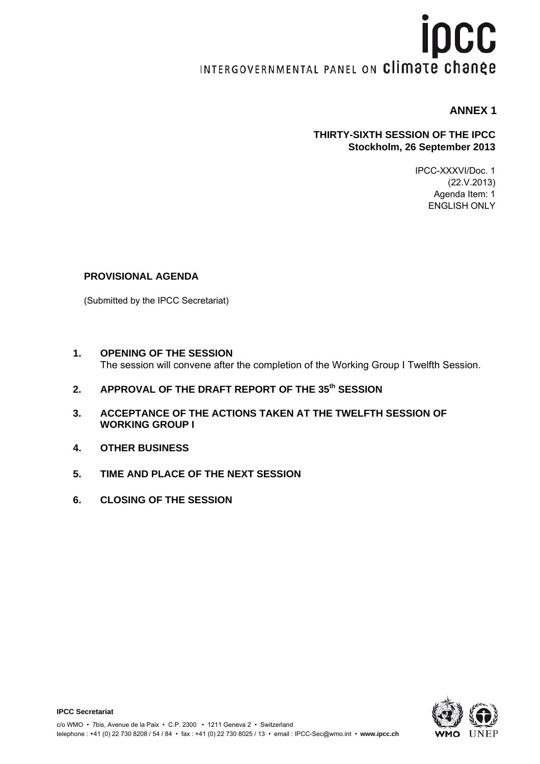# **İDCC** INTERGOVERNMENTAL PANEL ON Climate change

# **ANNEX 1**

## **THIRTY-SIXTH SESSION OF THE IPCC Stockholm, 26 September 2013**

IPCC-XXXVI/Doc. 1 (22.V.2013) Agenda Item: 1 ENGLISH ONLY

## **PROVISIONAL AGENDA**

(Submitted by the IPCC Secretariat)

- **1. OPENING OF THE SESSION**  The session will convene after the completion of the Working Group I Twelfth Session.
- **2. APPROVAL OF THE DRAFT REPORT OF THE 35th SESSION**
- **3. ACCEPTANCE OF THE ACTIONS TAKEN AT THE TWELFTH SESSION OF WORKING GROUP I**
- **4. OTHER BUSINESS**

**IPCC Secretariat** 

- **5. TIME AND PLACE OF THE NEXT SESSION**
- **6. CLOSING OF THE SESSION**

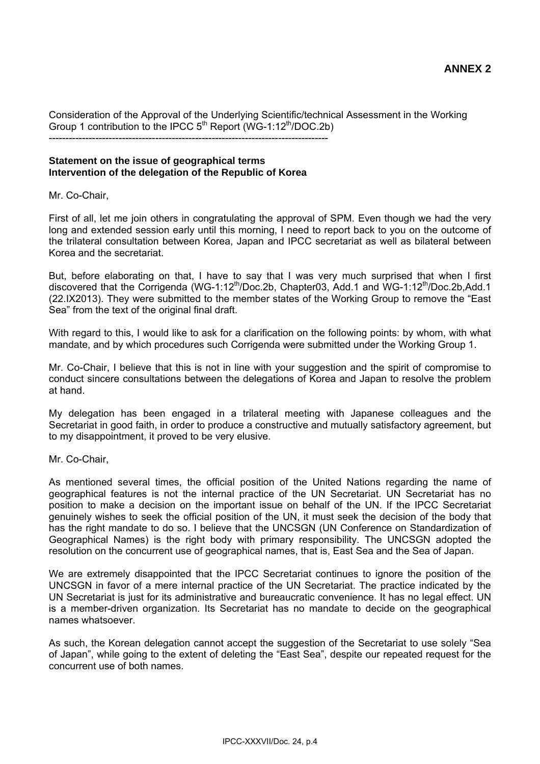Consideration of the Approval of the Underlying Scientific/technical Assessment in the Working Group 1 contribution to the IPCC  $5<sup>th</sup>$  Report (WG-1:12<sup>th</sup>/DOC.2b) ------------------------------------------------------------------------------------

### **Statement on the issue of geographical terms Intervention of the delegation of the Republic of Korea**

Mr. Co-Chair,

First of all, let me join others in congratulating the approval of SPM. Even though we had the very long and extended session early until this morning, I need to report back to you on the outcome of the trilateral consultation between Korea, Japan and IPCC secretariat as well as bilateral between Korea and the secretariat.

But, before elaborating on that, I have to say that I was very much surprised that when I first discovered that the Corrigenda (WG-1:12<sup>th</sup>/Doc.2b, Chapter03, Add.1 and WG-1:12<sup>th</sup>/Doc.2b,Add.1 (22.IX2013). They were submitted to the member states of the Working Group to remove the "East Sea" from the text of the original final draft.

With regard to this, I would like to ask for a clarification on the following points: by whom, with what mandate, and by which procedures such Corrigenda were submitted under the Working Group 1.

Mr. Co-Chair, I believe that this is not in line with your suggestion and the spirit of compromise to conduct sincere consultations between the delegations of Korea and Japan to resolve the problem at hand.

My delegation has been engaged in a trilateral meeting with Japanese colleagues and the Secretariat in good faith, in order to produce a constructive and mutually satisfactory agreement, but to my disappointment, it proved to be very elusive.

Mr. Co-Chair,

As mentioned several times, the official position of the United Nations regarding the name of geographical features is not the internal practice of the UN Secretariat. UN Secretariat has no position to make a decision on the important issue on behalf of the UN. If the IPCC Secretariat genuinely wishes to seek the official position of the UN, it must seek the decision of the body that has the right mandate to do so. I believe that the UNCSGN (UN Conference on Standardization of Geographical Names) is the right body with primary responsibility. The UNCSGN adopted the resolution on the concurrent use of geographical names, that is, East Sea and the Sea of Japan.

We are extremely disappointed that the IPCC Secretariat continues to ignore the position of the UNCSGN in favor of a mere internal practice of the UN Secretariat. The practice indicated by the UN Secretariat is just for its administrative and bureaucratic convenience. It has no legal effect. UN is a member-driven organization. Its Secretariat has no mandate to decide on the geographical names whatsoever.

As such, the Korean delegation cannot accept the suggestion of the Secretariat to use solely "Sea of Japan", while going to the extent of deleting the "East Sea", despite our repeated request for the concurrent use of both names.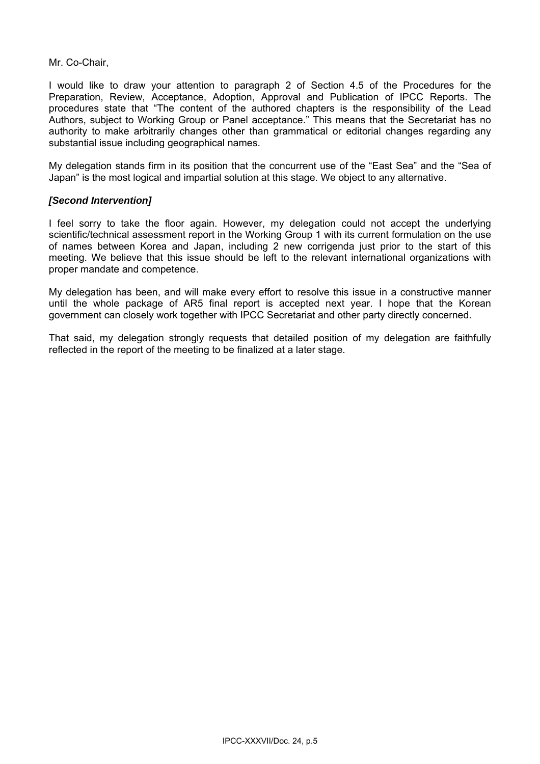Mr. Co-Chair,

I would like to draw your attention to paragraph 2 of Section 4.5 of the Procedures for the Preparation, Review, Acceptance, Adoption, Approval and Publication of IPCC Reports. The procedures state that "The content of the authored chapters is the responsibility of the Lead Authors, subject to Working Group or Panel acceptance." This means that the Secretariat has no authority to make arbitrarily changes other than grammatical or editorial changes regarding any substantial issue including geographical names.

My delegation stands firm in its position that the concurrent use of the "East Sea" and the "Sea of Japan" is the most logical and impartial solution at this stage. We object to any alternative.

## *[Second Intervention]*

I feel sorry to take the floor again. However, my delegation could not accept the underlying scientific/technical assessment report in the Working Group 1 with its current formulation on the use of names between Korea and Japan, including 2 new corrigenda just prior to the start of this meeting. We believe that this issue should be left to the relevant international organizations with proper mandate and competence.

My delegation has been, and will make every effort to resolve this issue in a constructive manner until the whole package of AR5 final report is accepted next year. I hope that the Korean government can closely work together with IPCC Secretariat and other party directly concerned.

That said, my delegation strongly requests that detailed position of my delegation are faithfully reflected in the report of the meeting to be finalized at a later stage.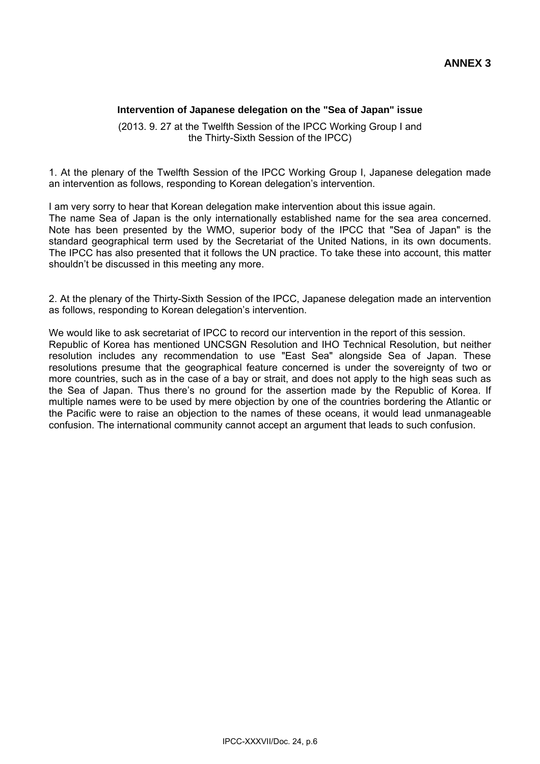## **Intervention of Japanese delegation on the "Sea of Japan" issue**

(2013. 9. 27 at the Twelfth Session of the IPCC Working Group I and the Thirty-Sixth Session of the IPCC)

1. At the plenary of the Twelfth Session of the IPCC Working Group I, Japanese delegation made an intervention as follows, responding to Korean delegation's intervention.

I am very sorry to hear that Korean delegation make intervention about this issue again. The name Sea of Japan is the only internationally established name for the sea area concerned. Note has been presented by the WMO, superior body of the IPCC that "Sea of Japan" is the standard geographical term used by the Secretariat of the United Nations, in its own documents. The IPCC has also presented that it follows the UN practice. To take these into account, this matter shouldn't be discussed in this meeting any more.

2. At the plenary of the Thirty-Sixth Session of the IPCC, Japanese delegation made an intervention as follows, responding to Korean delegation's intervention.

We would like to ask secretariat of IPCC to record our intervention in the report of this session. Republic of Korea has mentioned UNCSGN Resolution and IHO Technical Resolution, but neither resolution includes any recommendation to use "East Sea" alongside Sea of Japan. These resolutions presume that the geographical feature concerned is under the sovereignty of two or more countries, such as in the case of a bay or strait, and does not apply to the high seas such as the Sea of Japan. Thus there's no ground for the assertion made by the Republic of Korea. If multiple names were to be used by mere objection by one of the countries bordering the Atlantic or the Pacific were to raise an objection to the names of these oceans, it would lead unmanageable confusion. The international community cannot accept an argument that leads to such confusion.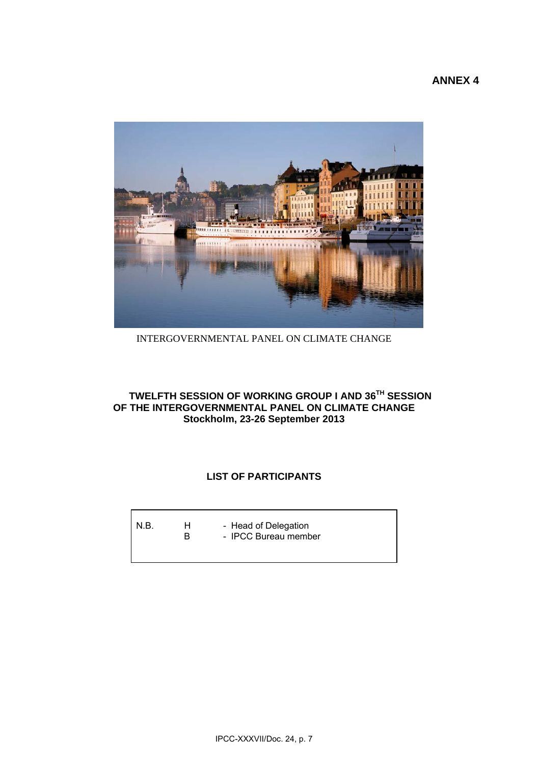

INTERGOVERNMENTAL PANEL ON CLIMATE CHANGE

## **TWELFTH SESSION OF WORKING GROUP I AND 36TH SESSION OF THE INTERGOVERNMENTAL PANEL ON CLIMATE CHANGE Stockholm, 23-26 September 2013**

# **LIST OF PARTICIPANTS**

| N.B. | н.<br>R | - Head of Delegation<br>- IPCC Bureau member |
|------|---------|----------------------------------------------|
|      |         |                                              |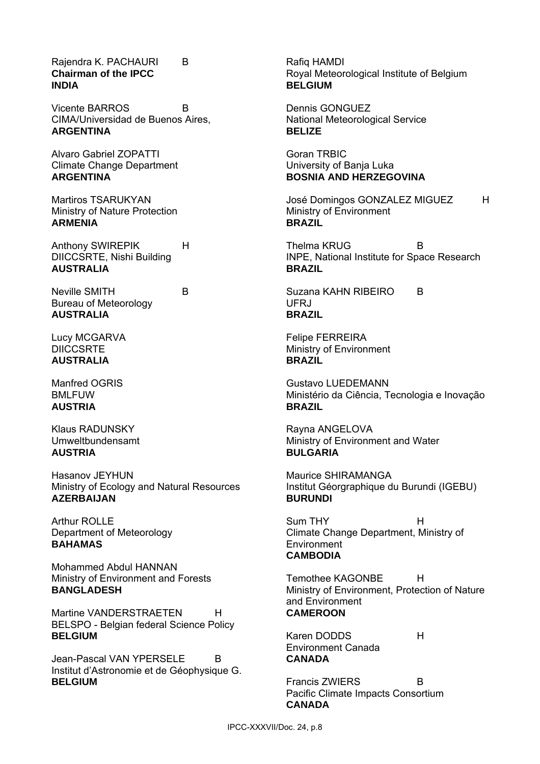Rajendra K. PACHAURI B **Chairman of the IPCC INDIA** 

Vicente BARROS B CIMA/Universidad de Buenos Aires, **ARGENTINA** 

Alvaro Gabriel ZOPATTI Climate Change Department **ARGENTINA** 

Martiros TSARUKYAN Ministry of Nature Protection **ARMENIA** 

Anthony SWIREPIK H DIICCSRTE, Nishi Building **AUSTRALIA** 

Neville SMITH B Bureau of Meteorology **AUSTRALIA** 

Lucy MCGARVA **DIICCSRTE AUSTRALIA** 

Manfred OGRIS BMLFUW **AUSTRIA** 

Klaus RADUNSKY Umweltbundensamt **AUSTRIA**

Hasanov JEYHUN Ministry of Ecology and Natural Resources **AZERBAIJAN** 

Arthur ROLLE Department of Meteorology **BAHAMAS** 

Mohammed Abdul HANNAN Ministry of Environment and Forests **BANGLADESH** 

Martine VANDERSTRAETEN H BELSPO - Belgian federal Science Policy **BELGIUM** 

Jean-Pascal VAN YPERSELE B Institut d'Astronomie et de Géophysique G. **BELGIUM** 

Rafiq HAMDI Royal Meteorological Institute of Belgium **BELGIUM** 

Dennis GONGUEZ National Meteorological Service **BELIZE** 

Goran TRBIC University of Banja Luka **BOSNIA AND HERZEGOVINA** 

José Domingos GONZALEZ MIGUEZ H Ministry of Environment **BRAZIL** 

Thelma KRUG B INPE, National Institute for Space Research **BRAZIL** 

Suzana KAHN RIBEIRO B UFRJ **BRAZIL** 

Felipe FERREIRA Ministry of Environment **BRAZIL** 

Gustavo LUEDEMANN Ministério da Ciência, Tecnologia e Inovação **BRAZIL** 

Rayna ANGELOVA Ministry of Environment and Water **BULGARIA** 

Maurice SHIRAMANGA Institut Géorgraphique du Burundi (IGEBU) **BURUNDI** 

Sum THY H Climate Change Department, Ministry of **Environment CAMBODIA** 

Temothee KAGONBE H Ministry of Environment, Protection of Nature and Environment **CAMEROON** 

Karen DODDS H Environment Canada **CANADA** 

Francis ZWIERS B Pacific Climate Impacts Consortium **CANADA**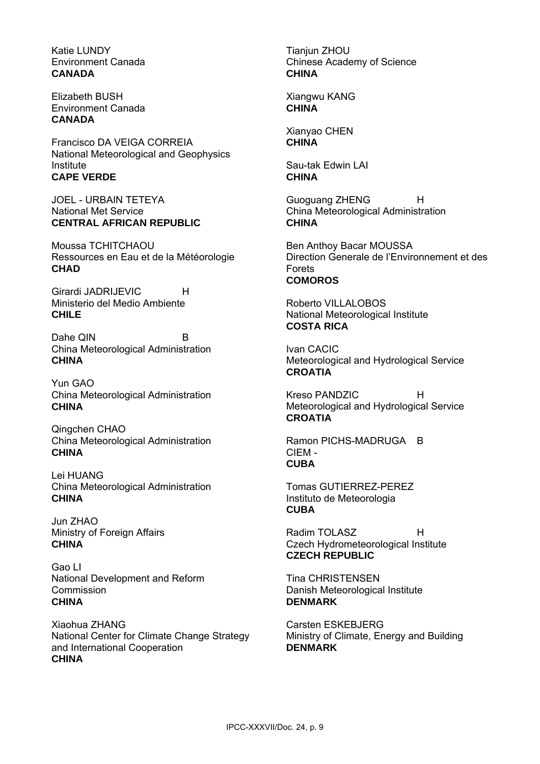Katie LUNDY Environment Canada **CANADA** 

Elizabeth BUSH Environment Canada **CANADA** 

Francisco DA VEIGA CORREIA National Meteorological and Geophysics Institute **CAPE VERDE**

JOEL - URBAIN TETEYA National Met Service **CENTRAL AFRICAN REPUBLIC**

Moussa TCHITCHAOU Ressources en Eau et de la Météorologie **CHAD**

Girardi JADRIJEVIC H Ministerio del Medio Ambiente **CHILE**

Dahe QIN B China Meteorological Administration **CHINA**

Yun GAO China Meteorological Administration **CHINA**

Qingchen CHAO China Meteorological Administration **CHINA**

Lei HUANG China Meteorological Administration **CHINA**

Jun ZHAO Ministry of Foreign Affairs **CHINA**

Gao LI National Development and Reform Commission **CHINA**

Xiaohua ZHANG National Center for Climate Change Strategy and International Cooperation **CHINA**

Tianjun ZHOU Chinese Academy of Science **CHINA**

Xiangwu KANG **CHINA**

Xianyao CHEN **CHINA**

Sau-tak Edwin LAI **CHINA**

Guoguang ZHENG H China Meteorological Administration **CHINA**

Ben Anthoy Bacar MOUSSA Direction Generale de l'Environnement et des Forets **COMOROS**

Roberto VILLALOBOS National Meteorological Institute **COSTA RICA**

Ivan CACIC Meteorological and Hydrological Service **CROATIA** 

Kreso PANDZIC. H Meteorological and Hydrological Service **CROATIA**

Ramon PICHS-MADRUGA B CIEM - **CUBA**

Tomas GUTIERREZ-PEREZ Instituto de Meteorologia **CUBA**

Radim TOI ASZ H Czech Hydrometeorological Institute **CZECH REPUBLIC**

Tina CHRISTENSEN Danish Meteorological Institute **DENMARK**

Carsten ESKEBJERG Ministry of Climate, Energy and Building **DENMARK**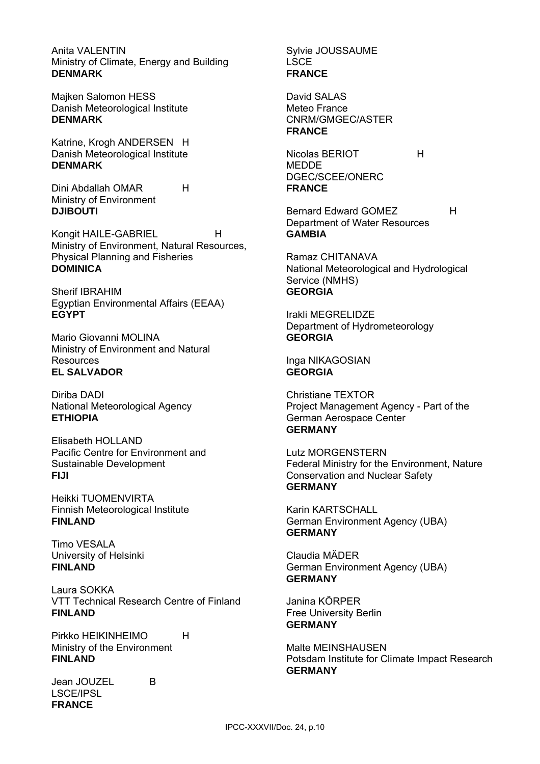Anita VALENTIN Ministry of Climate, Energy and Building **DENMARK**

Majken Salomon HESS Danish Meteorological Institute **DENMARK**

Katrine, Krogh ANDERSEN H Danish Meteorological Institute **DENMARK**

Dini Abdallah OMAR H Ministry of Environment **DJIBOUTI**

Kongit HAILE-GABRIEL H Ministry of Environment, Natural Resources, Physical Planning and Fisheries **DOMINICA**

Sherif IBRAHIM Egyptian Environmental Affairs (EEAA) **EGYPT**

Mario Giovanni MOLINA Ministry of Environment and Natural **Resources EL SALVADOR**

Diriba DADI National Meteorological Agency **ETHIOPIA**

Elisabeth HOLLAND Pacific Centre for Environment and Sustainable Development **FIJI**

Heikki TUOMENVIRTA Finnish Meteorological Institute **FINLAND**

Timo VESALA University of Helsinki **FINLAND**

Laura SOKKA VTT Technical Research Centre of Finland **FINLAND**

Pirkko HEIKINHEIMO H Ministry of the Environment **FINLAND**

Jean JOUZEL B LSCE/IPSL **FRANCE**

Sylvie JOUSSAUME LSCE **FRANCE**

David SALAS Meteo France CNRM/GMGEC/ASTER **FRANCE**

Nicolas BERIOT H **MEDDE** DGEC/SCEE/ONERC **FRANCE**

Bernard Edward GOMEZ H Department of Water Resources **GAMBIA**

Ramaz CHITANAVA National Meteorological and Hydrological Service (NMHS) **GEORGIA**

Irakli MEGRELIDZE Department of Hydrometeorology **GEORGIA**

Inga NIKAGOSIAN **GEORGIA**

Christiane TEXTOR Project Management Agency - Part of the German Aerospace Center **GERMANY**

Lutz MORGENSTERN Federal Ministry for the Environment, Nature Conservation and Nuclear Safety **GERMANY**

Karin KARTSCHALL German Environment Agency (UBA) **GERMANY**

Claudia MÄDER German Environment Agency (UBA) **GERMANY**

Janina KÖRPER Free University Berlin **GERMANY**

Malte MEINSHAUSEN Potsdam Institute for Climate Impact Research **GERMANY**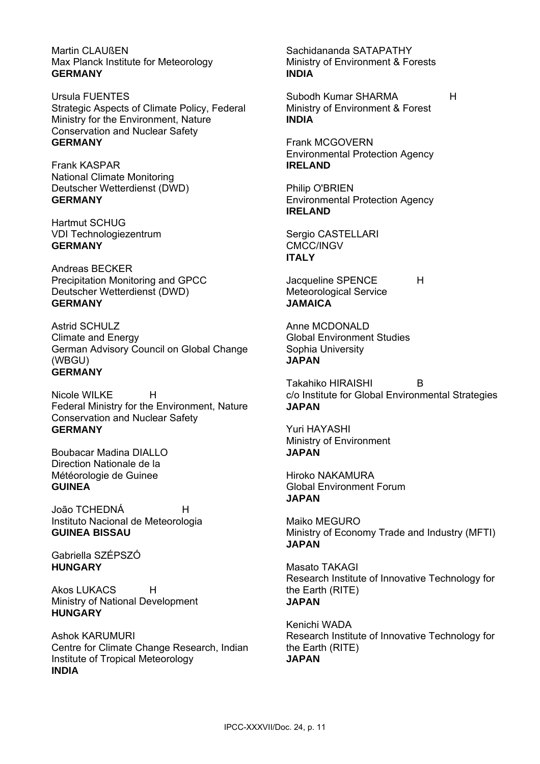Martin CLAUßEN Max Planck Institute for Meteorology **GERMANY**

Ursula FUENTES Strategic Aspects of Climate Policy, Federal Ministry for the Environment, Nature Conservation and Nuclear Safety **GERMANY**

Frank KASPAR National Climate Monitoring Deutscher Wetterdienst (DWD) **GERMANY**

Hartmut SCHUG VDI Technologiezentrum **GERMANY**

Andreas BECKER Precipitation Monitoring and GPCC Deutscher Wetterdienst (DWD) **GERMANY**

Astrid SCHULZ Climate and Energy German Advisory Council on Global Change (WBGU) **GERMANY**

Nicole WILKE H Federal Ministry for the Environment, Nature Conservation and Nuclear Safety **GERMANY**

Boubacar Madina DIALLO Direction Nationale de la Météorologie de Guinee **GUINEA**

João TCHEDNÁ H Instituto Nacional de Meteorologia **GUINEA BISSAU**

Gabriella SZÉPSZÓ **HUNGARY**

Akos LUKACS H Ministry of National Development **HUNGARY**

Ashok KARUMURI Centre for Climate Change Research, Indian Institute of Tropical Meteorology **INDIA**

Sachidananda SATAPATHY Ministry of Environment & Forests **INDIA**

Subodh Kumar SHARMA 
H Ministry of Environment & Forest **INDIA**

Frank MCGOVERN Environmental Protection Agency **IRELAND**

Philip O'BRIEN Environmental Protection Agency **IRELAND**

Sergio CASTELLARI CMCC/INGV **ITALY**

Jacqueline SPENCE H Meteorological Service **JAMAICA**

Anne MCDONALD Global Environment Studies Sophia University **JAPAN**

Takahiko HIRAISHI B c/o Institute for Global Environmental Strategies **JAPAN**

Yuri HAYASHI Ministry of Environment **JAPAN**

Hiroko NAKAMURA Global Environment Forum **JAPAN**

Maiko MEGURO Ministry of Economy Trade and Industry (MFTI) **JAPAN**

Masato TAKAGI Research Institute of Innovative Technology for the Earth (RITE) **JAPAN**

Kenichi WADA Research Institute of Innovative Technology for the Earth (RITE) **JAPAN**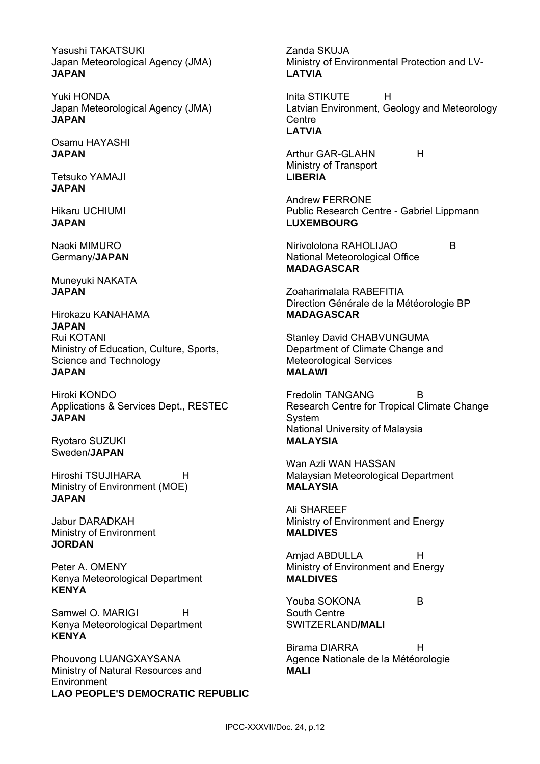Yasushi TAKATSUKI Japan Meteorological Agency (JMA) **JAPAN**

Yuki HONDA Japan Meteorological Agency (JMA) **JAPAN**

Osamu HAYASHI **JAPAN**

Tetsuko YAMAJI **JAPAN**

Hikaru UCHIUMI **JAPAN**

Naoki MIMURO Germany/**JAPAN**

Muneyuki NAKATA **JAPAN**

Hirokazu KANAHAMA **JAPAN** Rui KOTANI Ministry of Education, Culture, Sports, Science and Technology **JAPAN**

Hiroki KONDO Applications & Services Dept., RESTEC **JAPAN**

Ryotaro SUZUKI Sweden/**JAPAN**

Hiroshi TSUJIHARA H Ministry of Environment (MOE) **JAPAN**

Jabur DARADKAH Ministry of Environment **JORDAN**

Peter A. OMENY Kenya Meteorological Department **KENYA**

Samwel O. MARIGI H Kenya Meteorological Department **KENYA**

Phouvong LUANGXAYSANA Ministry of Natural Resources and **Environment LAO PEOPLE'S DEMOCRATIC REPUBLIC**

Zanda SKUJA Ministry of Environmental Protection and LV-**LATVIA**

Inita STIKUTE H Latvian Environment, Geology and Meteorology **Centre LATVIA**

Arthur GAR-GLAHN H Ministry of Transport **LIBERIA**

Andrew FERRONE Public Research Centre - Gabriel Lippmann **LUXEMBOURG** 

Nirivololona RAHOLIJAO B National Meteorological Office **MADAGASCAR**

Zoaharimalala RABEFITIA Direction Générale de la Météorologie BP **MADAGASCAR**

Stanley David CHABVUNGUMA Department of Climate Change and Meteorological Services **MALAWI**

Fredolin TANGANG B Research Centre for Tropical Climate Change System National University of Malaysia **MALAYSIA**

Wan Azli WAN HASSAN Malaysian Meteorological Department **MALAYSIA**

Ali SHAREEF Ministry of Environment and Energy **MALDIVES** 

Amjad ABDULLA H Ministry of Environment and Energy **MALDIVES**

Youba SOKONA B South Centre SWITZERLAND**/MALI** 

Birama DIARRA H Agence Nationale de la Météorologie **MALI**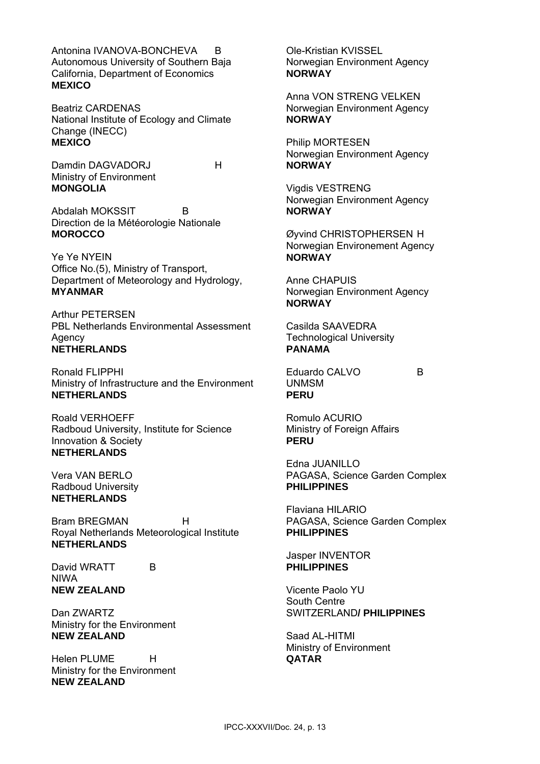Antonina IVANOVA-BONCHEVA B Autonomous University of Southern Baja California, Department of Economics **MEXICO**

Beatriz CARDENAS National Institute of Ecology and Climate Change (INECC) **MEXICO**

Damdin DAGVADORJ H Ministry of Environment **MONGOLIA** 

Abdalah MOKSSIT B Direction de la Météorologie Nationale **MOROCCO** 

Ye Ye NYEIN Office No.(5), Ministry of Transport, Department of Meteorology and Hydrology, **MYANMAR** 

Arthur PETERSEN PBL Netherlands Environmental Assessment **Agency NETHERLANDS** 

Ronald FLIPPHI Ministry of Infrastructure and the Environment **NETHERLANDS** 

Roald VERHOEFF Radboud University, Institute for Science Innovation & Society **NETHERLANDS** 

Vera VAN BERLO Radboud University **NETHERLANDS** 

Bram BREGMAN H Royal Netherlands Meteorological Institute **NETHERLANDS** 

David WRATT B NIWA **NEW ZEALAND** 

Dan ZWARTZ Ministry for the Environment **NEW ZEALAND** 

Helen PLUME H Ministry for the Environment **NEW ZEALAND** 

Ole-Kristian KVISSEL Norwegian Environment Agency **NORWAY** 

Anna VON STRENG VELKEN Norwegian Environment Agency **NORWAY** 

Philip MORTESEN Norwegian Environment Agency **NORWAY** 

Vigdis VESTRENG Norwegian Environment Agency **NORWAY** 

Øyvind CHRISTOPHERSEN H Norwegian Environement Agency **NORWAY** 

Anne CHAPUIS Norwegian Environment Agency **NORWAY**

Casilda SAAVEDRA Technological University **PANAMA** 

Eduardo CALVO B UNMSM **PERU** 

Romulo ACURIO Ministry of Foreign Affairs **PERU** 

Edna JUANILLO PAGASA, Science Garden Complex **PHILIPPINES** 

Flaviana HILARIO PAGASA, Science Garden Complex **PHILIPPINES** 

Jasper INVENTOR **PHILIPPINES** 

Vicente Paolo YU South Centre SWITZERLAND**/ PHILIPPINES** 

Saad AL-HITMI Ministry of Environment **QATAR**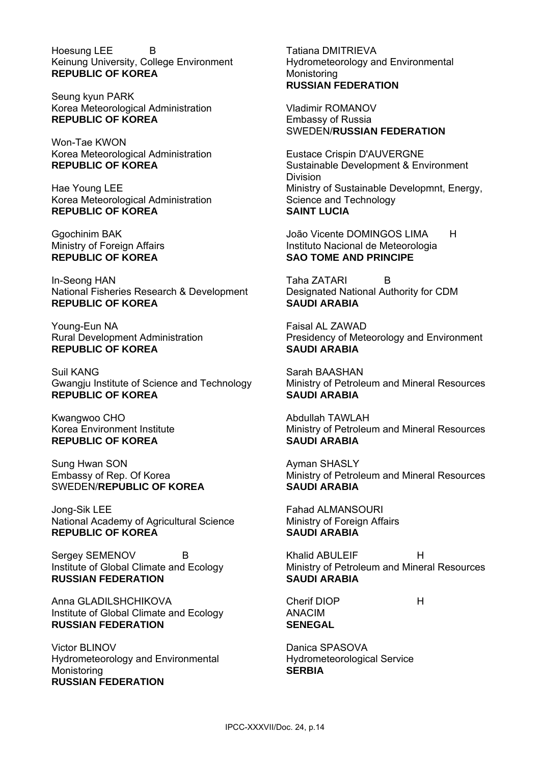Hoesung LEE B Keinung University, College Environment **REPUBLIC OF KOREA** 

Seung kyun PARK Korea Meteorological Administration **REPUBLIC OF KOREA** 

Won-Tae KWON Korea Meteorological Administration **REPUBLIC OF KOREA** 

Hae Young LEE Korea Meteorological Administration **REPUBLIC OF KOREA** 

Ggochinim BAK Ministry of Foreign Affairs **REPUBLIC OF KOREA** 

In-Seong HAN National Fisheries Research & Development **REPUBLIC OF KOREA** 

Young-Eun NA Rural Development Administration **REPUBLIC OF KOREA** 

Suil KANG Gwangju Institute of Science and Technology **REPUBLIC OF KOREA**

Kwangwoo CHO Korea Environment Institute **REPUBLIC OF KOREA**

Sung Hwan SON Embassy of Rep. Of Korea SWEDEN/**REPUBLIC OF KOREA**

Jong-Sik LEE National Academy of Agricultural Science **REPUBLIC OF KOREA** 

Sergey SEMENOV B Institute of Global Climate and Ecology **RUSSIAN FEDERATION** 

Anna GLADILSHCHIKOVA Institute of Global Climate and Ecology **RUSSIAN FEDERATION** 

Victor BLINOV Hydrometeorology and Environmental Monistoring **RUSSIAN FEDERATION** 

Tatiana DMITRIEVA Hydrometeorology and Environmental **Monistoring RUSSIAN FEDERATION** 

Vladimir ROMANOV Embassy of Russia SWEDEN/**RUSSIAN FEDERATION** 

Eustace Crispin D'AUVERGNE Sustainable Development & Environment Division Ministry of Sustainable Developmnt, Energy, Science and Technology **SAINT LUCIA** 

João Vicente DOMINGOS LIMA H Instituto Nacional de Meteorologia **SAO TOME AND PRINCIPE** 

Taha ZATARI B Designated National Authority for CDM **SAUDI ARABIA** 

Faisal AL ZAWAD Presidency of Meteorology and Environment **SAUDI ARABIA** 

Sarah BAASHAN Ministry of Petroleum and Mineral Resources **SAUDI ARABIA** 

Abdullah TAWLAH Ministry of Petroleum and Mineral Resources **SAUDI ARABIA** 

Ayman SHASLY Ministry of Petroleum and Mineral Resources **SAUDI ARABIA** 

Fahad ALMANSOURI Ministry of Foreign Affairs **SAUDI ARABIA** 

Khalid ABULEIF H Ministry of Petroleum and Mineral Resources **SAUDI ARABIA** 

Cherif DIOP H ANACIM **SENEGAL** 

Danica SPASOVA Hydrometeorological Service **SERBIA**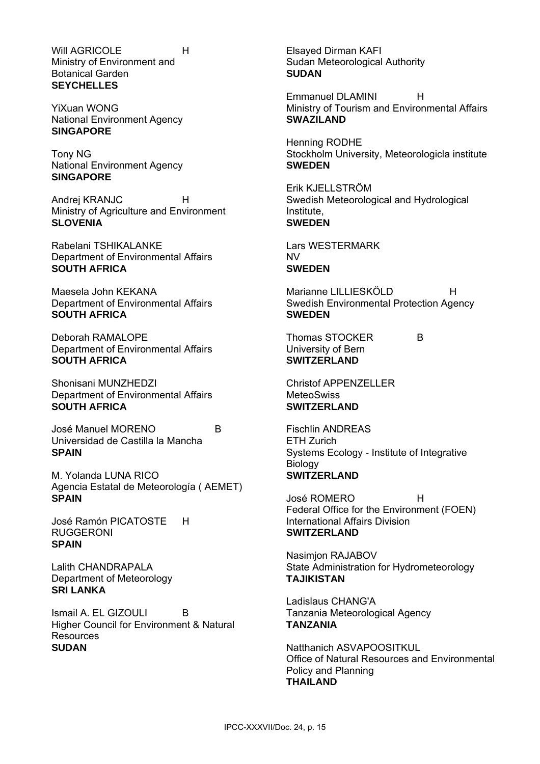Will AGRICOLE **H** Ministry of Environment and Botanical Garden **SEYCHELLES** 

YiXuan WONG National Environment Agency **SINGAPORE** 

Tony NG National Environment Agency **SINGAPORE** 

Andrej KRANJC H Ministry of Agriculture and Environment **SLOVENIA** 

Rabelani TSHIKALANKE Department of Environmental Affairs **SOUTH AFRICA** 

Maesela John KEKANA Department of Environmental Affairs **SOUTH AFRICA** 

Deborah RAMALOPE Department of Environmental Affairs **SOUTH AFRICA** 

Shonisani MUNZHEDZI Department of Environmental Affairs **SOUTH AFRICA** 

José Manuel MORENO B Universidad de Castilla la Mancha **SPAIN** 

M. Yolanda LUNA RICO Agencia Estatal de Meteorología ( AEMET) **SPAIN** 

José Ramón PICATOSTE H RUGGERONI **SPAIN** 

Lalith CHANDRAPALA Department of Meteorology **SRI LANKA** 

Ismail A. EL GIZOULI B Higher Council for Environment & Natural **Resources SUDAN** 

Elsayed Dirman KAFI Sudan Meteorological Authority **SUDAN** 

Emmanuel DLAMINI H Ministry of Tourism and Environmental Affairs **SWAZILAND** 

Henning RODHE Stockholm University, Meteorologicla institute **SWEDEN** 

Erik KJELLSTRÖM Swedish Meteorological and Hydrological Institute, **SWEDEN** 

Lars WESTERMARK NV **SWEDEN** 

Marianne LILLIESKÖLD H Swedish Environmental Protection Agency **SWEDEN** 

Thomas STOCKER B University of Bern **SWITZERLAND** 

Christof APPENZELLER **MeteoSwiss SWITZERLAND** 

Fischlin ANDREAS

ETH Zurich Systems Ecology - Institute of Integrative Biology **SWITZERLAND** 

José ROMERO H Federal Office for the Environment (FOEN) International Affairs Division **SWITZERLAND** 

Nasimjon RAJABOV State Administration for Hydrometeorology **TAJIKISTAN** 

Ladislaus CHANG'A Tanzania Meteorological Agency **TANZANIA** 

Natthanich ASVAPOOSITKUL Office of Natural Resources and Environmental Policy and Planning **THAILAND**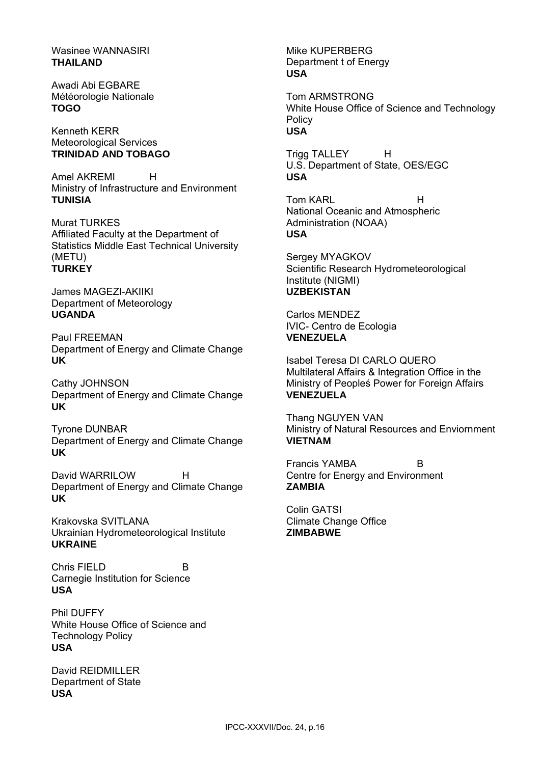## Wasinee WANNASIRI **THAILAND**

Awadi Abi EGBARE Météorologie Nationale **TOGO** 

Kenneth KERR Meteorological Services **TRINIDAD AND TOBAGO**

Amel AKREMI H Ministry of Infrastructure and Environment **TUNISIA** 

Murat TURKES Affiliated Faculty at the Department of Statistics Middle East Technical University (METU) **TURKEY** 

James MAGEZI-AKIIKI Department of Meteorology **UGANDA** 

Paul FREEMAN Department of Energy and Climate Change **UK** 

Cathy JOHNSON Department of Energy and Climate Change **UK** 

Tyrone DUNBAR Department of Energy and Climate Change **UK** 

David WARRILOW H Department of Energy and Climate Change **UK** 

Krakovska SVITLANA Ukrainian Hydrometeorological Institute **UKRAINE** 

Chris FIELD B Carnegie Institution for Science **USA** 

Phil DUFFY White House Office of Science and Technology Policy **USA** 

David REIDMILLER Department of State **USA** 

Mike KUPERBERG Department t of Energy **USA** 

Tom ARMSTRONG White House Office of Science and Technology **Policy USA** 

Trigg TALLEY H U.S. Department of State, OES/EGC **USA** 

Tom KARL
H National Oceanic and Atmospheric Administration (NOAA) **USA** 

Sergey MYAGKOV Scientific Research Hydrometeorological Institute (NIGMI) **UZBEKISTAN** 

Carlos MENDEZ IVIC- Centro de Ecologia **VENEZUELA**

Isabel Teresa DI CARLO QUERO Multilateral Affairs & Integration Office in the Ministry of Peopleś Power for Foreign Affairs **VENEZUELA** 

Thang NGUYEN VAN Ministry of Natural Resources and Enviornment **VIETNAM** 

Francis YAMBA B Centre for Energy and Environment **ZAMBIA** 

Colin GATSI Climate Change Office **ZIMBABWE**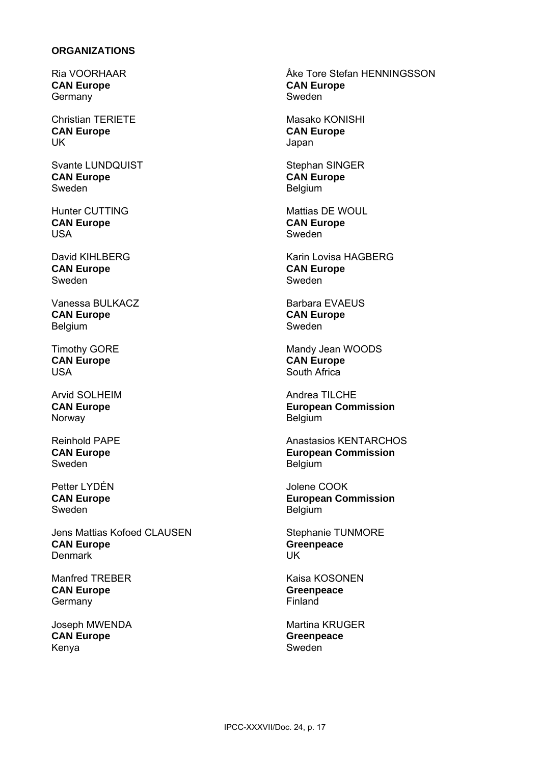### **ORGANIZATIONS**

Ria VOORHAAR **CAN Europe**  Germany

Christian TERIETE **CAN Europe** UK

Svante LUNDQUIST **CAN Europe** Sweden

Hunter CUTTING **CAN Europe**  USA

David KIHLBERG **CAN Europe**  Sweden

Vanessa BULKACZ **CAN Europe** Belgium

Timothy GORE **CAN Europe**  USA

Arvid SOLHEIM **CAN Europe**  Norway

Reinhold PAPE **CAN Europe**  Sweden

Petter LYDÉN **CAN Europe**  Sweden

Jens Mattias Kofoed CLAUSEN **CAN Europe** Denmark

Manfred TREBER **CAN Europe Germany** 

Joseph MWENDA **CAN Europe**  Kenya

Åke Tore Stefan HENNINGSSON **CAN Europe** Sweden

Masako KONISHI **CAN Europe** Japan

Stephan SINGER **CAN Europe**  Belgium

Mattias DE WOUL **CAN Europe** Sweden

Karin Lovisa HAGBERG **CAN Europe** Sweden

Barbara EVAEUS **CAN Europe** Sweden

Mandy Jean WOODS **CAN Europe** South Africa

Andrea TILCHE **European Commission** Belgium

Anastasios KENTARCHOS **European Commission** Belgium

Jolene COOK **European Commission** Belgium

Stephanie TUNMORE **Greenpeace**  UK

Kaisa KOSONEN **Greenpeace** Finland

Martina KRUGER **Greenpeace** Sweden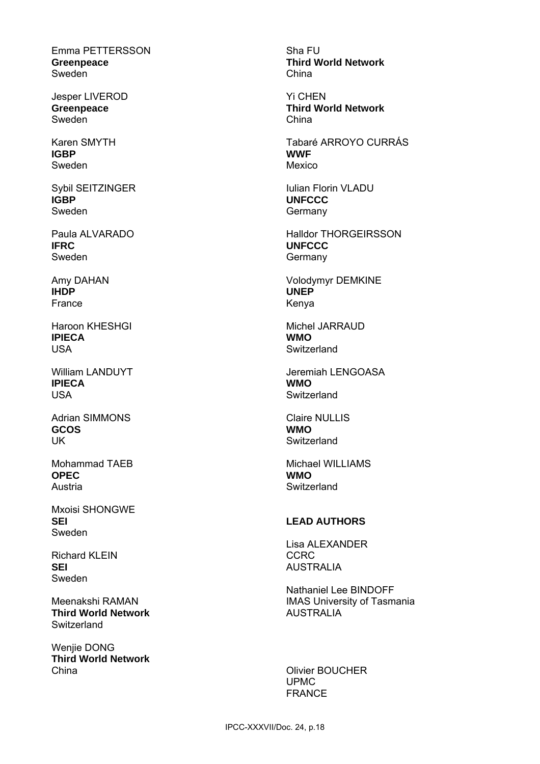Emma PETTERSSON **Greenpeace** Sweden

Jesper LIVEROD **Greenpeace** Sweden

Karen SMYTH **IGBP**  Sweden

Sybil SEITZINGER **IGBP** Sweden

Paula ALVARADO **IFRC**  Sweden

Amy DAHAN **IHDP**  France

Haroon KHESHGI **IPIECA**  USA

William LANDUYT **IPIECA** USA

Adrian SIMMONS **GCOS**  UK

Mohammad TAEB **OPEC**  Austria

Mxoisi SHONGWE **SEI**  Sweden

Richard KLEIN **SEI** Sweden

Meenakshi RAMAN **Third World Network Switzerland** 

Wenjie DONG **Third World Network** China

Sha FU **Third World Network** China

Yi CHEN **Third World Network** China

Tabaré ARROYO CURRÁS **WWF** Mexico

Iulian Florin VLADU **UNFCCC**  Germany

Halldor THORGEIRSSON **UNFCCC**  Germany

Volodymyr DEMKINE **UNEP**  Kenya

Michel JARRAUD **WMO Switzerland** 

Jeremiah LENGOASA **WMO Switzerland** 

Claire NULLIS **WMO Switzerland** 

Michael WILLIAMS **WMO Switzerland** 

## **LEAD AUTHORS**

Lisa ALEXANDER CCRC AUSTRALIA

Nathaniel Lee BINDOFF IMAS University of Tasmania AUSTRALIA

Olivier BOUCHER UPMC FRANCE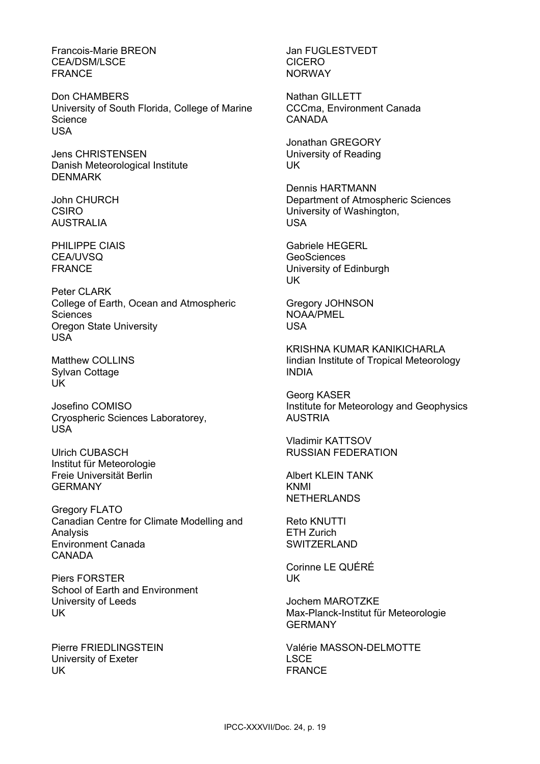Francois-Marie BREON CEA/DSM/LSCE FRANCE

Don CHAMBERS University of South Florida, College of Marine **Science** USA

Jens CHRISTENSEN Danish Meteorological Institute DENMARK

John CHURCH CSIRO AUSTRALIA

PHILIPPE CIAIS CEA/UVSQ FRANCE

Peter CLARK College of Earth, Ocean and Atmospheric **Sciences** Oregon State University USA

Matthew COLLINS Sylvan Cottage UK

Josefino COMISO Cryospheric Sciences Laboratorey, USA

Ulrich CUBASCH Institut für Meteorologie Freie Universität Berlin GERMANY

Gregory FLATO Canadian Centre for Climate Modelling and Analysis Environment Canada **CANADA** 

Piers FORSTER School of Earth and Environment University of Leeds UK

Pierre FRIEDLINGSTEIN University of Exeter UK

Jan FUGLESTVEDT CICERO NORWAY

Nathan GILLETT CCCma, Environment Canada CANADA

Jonathan GREGORY University of Reading UK

Dennis HARTMANN Department of Atmospheric Sciences University of Washington, USA

Gabriele HEGERL **GeoSciences** University of Edinburgh UK

Gregory JOHNSON NOAA/PMEL USA

KRISHNA KUMAR KANIKICHARLA Iindian Institute of Tropical Meteorology INDIA

Georg KASER Institute for Meteorology and Geophysics AUSTRIA

Vladimir KATTSOV RUSSIAN FEDERATION

Albert KLEIN TANK KNMI NETHERLANDS

Reto KNUTTI ETH Zurich **SWITZERLAND** 

Corinne LE QUÉRÉ UK

Jochem MAROTZKE Max-Planck-Institut für Meteorologie **GERMANY** 

Valérie MASSON-DELMOTTE LSCE FRANCE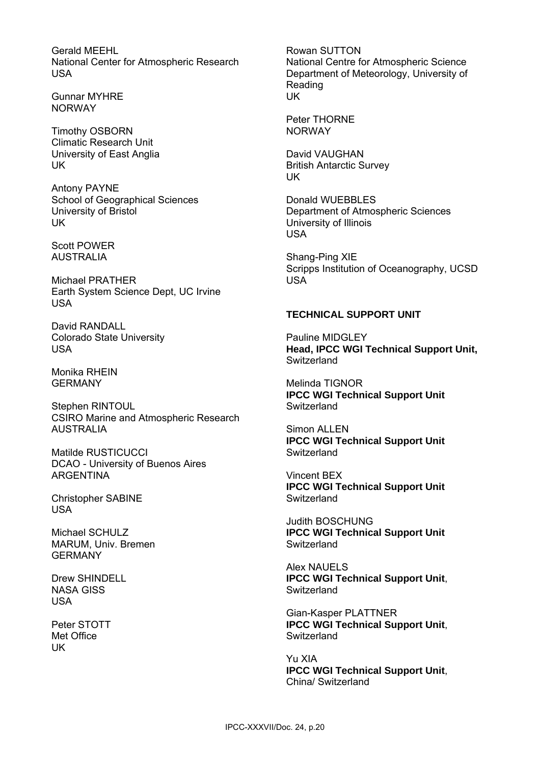Gerald MEEHL National Center for Atmospheric Research USA

Gunnar MYHRE NORWAY

Timothy OSBORN Climatic Research Unit University of East Anglia UK

Antony PAYNE School of Geographical Sciences University of Bristol UK

Scott POWER AUSTRALIA

Michael PRATHER Earth System Science Dept, UC Irvine USA

David RANDALL Colorado State University USA

Monika RHEIN GERMANY

Stephen RINTOUL CSIRO Marine and Atmospheric Research AUSTRALIA

Matilde RUSTICUCCI DCAO - University of Buenos Aires ARGENTINA

Christopher SABINE USA

Michael SCHULZ MARUM, Univ. Bremen GERMANY

Drew SHINDELL NASA GISS USA

Peter STOTT Met Office UK

Rowan SUTTON National Centre for Atmospheric Science Department of Meteorology, University of Reading UK

Peter THORNE NORWAY

David VAUGHAN British Antarctic Survey UK

Donald WUEBBLES Department of Atmospheric Sciences University of Illinois USA

Shang-Ping XIE Scripps Institution of Oceanography, UCSD USA

## **TECHNICAL SUPPORT UNIT**

Pauline MIDGLEY **Head, IPCC WGI Technical Support Unit, Switzerland** 

Melinda TIGNOR **IPCC WGI Technical Support Unit Switzerland** 

Simon ALLEN **IPCC WGI Technical Support Unit Switzerland** 

Vincent BEX **IPCC WGI Technical Support Unit Switzerland** 

Judith BOSCHUNG **IPCC WGI Technical Support Unit Switzerland** 

Alex NAUELS **IPCC WGI Technical Support Unit**, **Switzerland** 

Gian-Kasper PLATTNER **IPCC WGI Technical Support Unit**, **Switzerland** 

Yu XIA **IPCC WGI Technical Support Unit**, China/ Switzerland